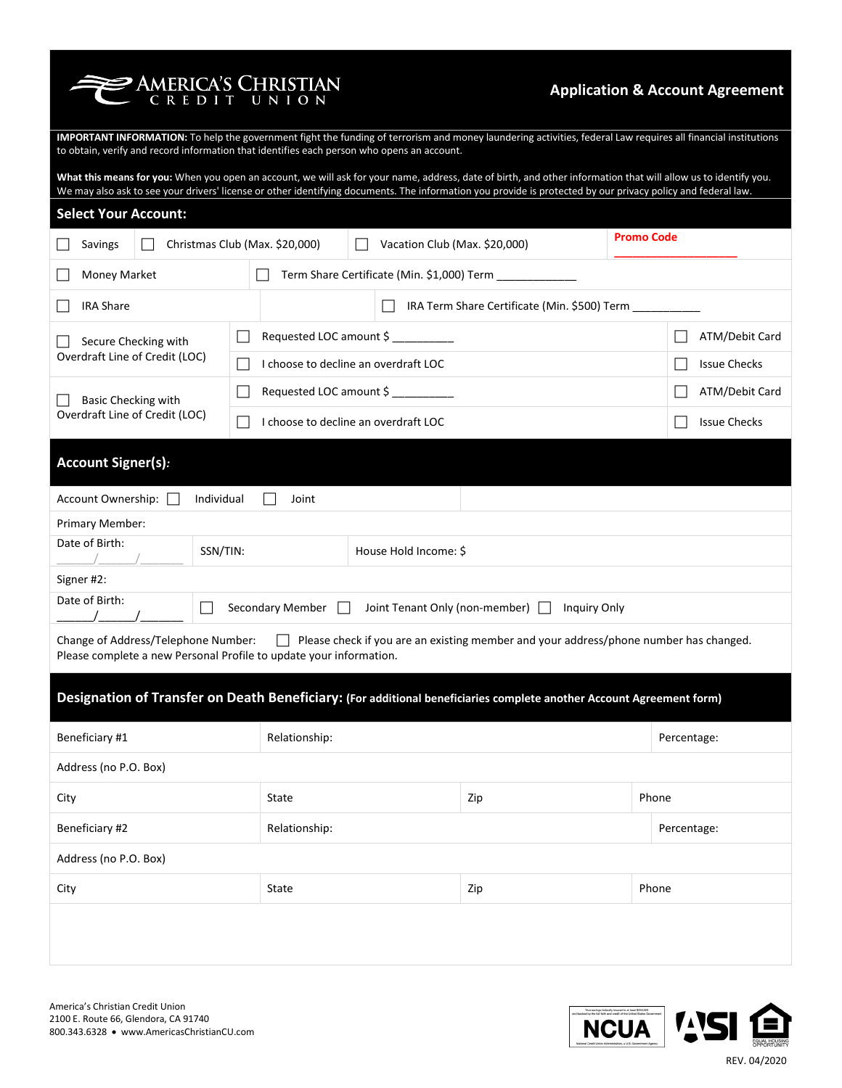**PAMERICA'S CHRISTIAN** 

## **Application & Account Agreement**

**IMPORTANT INFORMATION:** To help the government fight the funding of terrorism and money laundering activities, federal Law requires all financial institutions to obtain, verify and record information that identifies each person who opens an account.

**What this means for you:** When you open an account, we will ask for your name, address, date of birth, and other information that will allow us to identify you. We may also ask to see your drivers' license or other identifying documents. The information you provide is protected by our privacy policy and federal law.

| <b>Select Your Account:</b>                                                                                                                                                                        |                                   |                                      |             |             |                     |
|----------------------------------------------------------------------------------------------------------------------------------------------------------------------------------------------------|-----------------------------------|--------------------------------------|-------------|-------------|---------------------|
| <b>Promo Code</b><br>Vacation Club (Max. \$20,000)<br>Christmas Club (Max. \$20,000)<br>Savings                                                                                                    |                                   |                                      |             |             |                     |
| Term Share Certificate (Min. \$1,000) Term ___________<br>Money Market                                                                                                                             |                                   |                                      |             |             |                     |
| <b>IRA Share</b><br>IRA Term Share Certificate (Min. \$500) Term                                                                                                                                   |                                   |                                      |             |             |                     |
| Secure Checking with                                                                                                                                                                               |                                   | Requested LOC amount \$              |             |             | ATM/Debit Card      |
| Overdraft Line of Credit (LOC)                                                                                                                                                                     |                                   | I choose to decline an overdraft LOC |             |             | <b>Issue Checks</b> |
| Basic Checking with                                                                                                                                                                                |                                   | Requested LOC amount \$              |             |             | ATM/Debit Card      |
| Overdraft Line of Credit (LOC)                                                                                                                                                                     |                                   | I choose to decline an overdraft LOC |             |             | <b>Issue Checks</b> |
| <b>Account Signer(s):</b>                                                                                                                                                                          |                                   |                                      |             |             |                     |
| Account Ownership:<br>Individual                                                                                                                                                                   | Joint                             |                                      |             |             |                     |
| Primary Member:                                                                                                                                                                                    |                                   |                                      |             |             |                     |
| Date of Birth:                                                                                                                                                                                     | SSN/TIN:<br>House Hold Income: \$ |                                      |             |             |                     |
| Signer #2:                                                                                                                                                                                         |                                   |                                      |             |             |                     |
| Date of Birth:<br>Secondary Member<br>Joint Tenant Only (non-member)<br>Inquiry Only<br>- 1                                                                                                        |                                   |                                      |             |             |                     |
| Please check if you are an existing member and your address/phone number has changed.<br>Change of Address/Telephone Number:<br>Please complete a new Personal Profile to update your information. |                                   |                                      |             |             |                     |
| Designation of Transfer on Death Beneficiary: (For additional beneficiaries complete another Account Agreement form)                                                                               |                                   |                                      |             |             |                     |
| Beneficiary #1<br>Relationship:                                                                                                                                                                    |                                   |                                      | Percentage: |             |                     |
| Address (no P.O. Box)                                                                                                                                                                              |                                   |                                      |             |             |                     |
| City                                                                                                                                                                                               | State                             |                                      | Zip         | Phone       |                     |
| Beneficiary #2                                                                                                                                                                                     | Relationship:                     |                                      |             | Percentage: |                     |
| Address (no P.O. Box)                                                                                                                                                                              |                                   |                                      |             |             |                     |
| City                                                                                                                                                                                               | State                             |                                      | Zip         | Phone       |                     |
|                                                                                                                                                                                                    |                                   |                                      |             |             |                     |

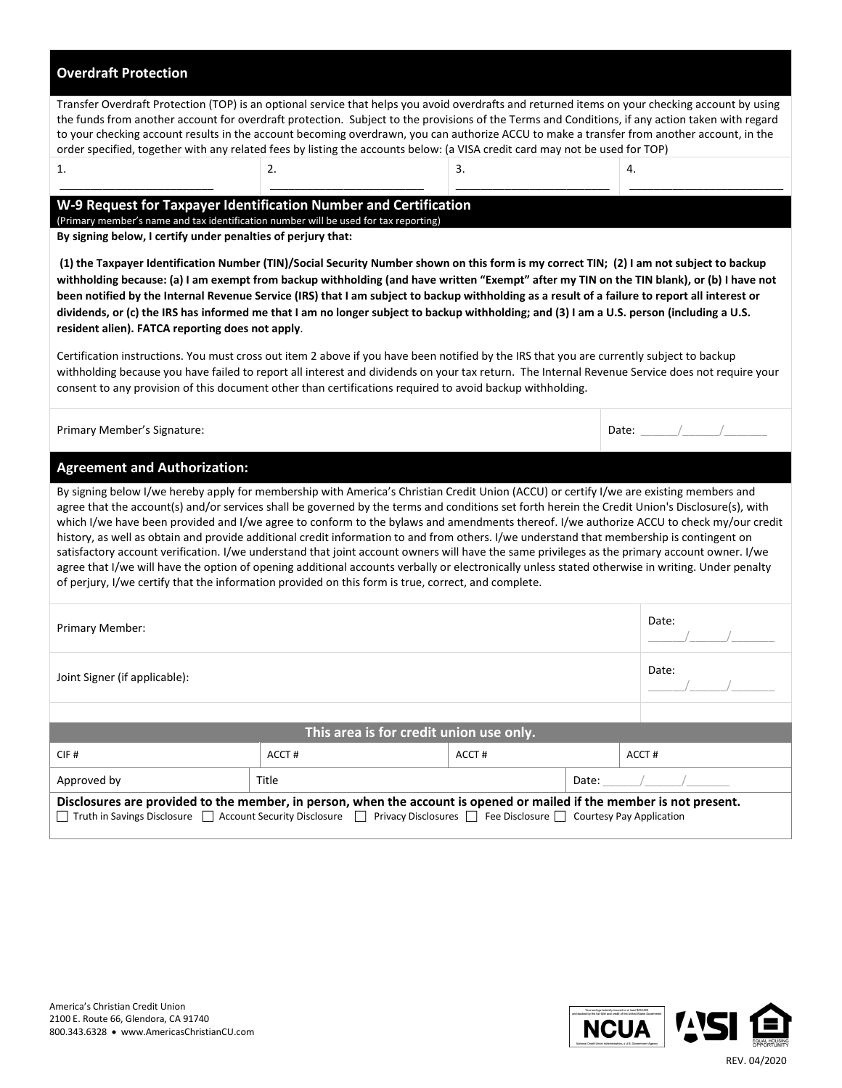| <b>Overdraft Protection</b>                                                                                                                                                                                                                                                                                                                                                                                                                                                                                                                                                                                                                                                                                                                                                                                                                                                                                                                                                                                                                                                                                                                                          |                                                  |       |       |                       |  |  |
|----------------------------------------------------------------------------------------------------------------------------------------------------------------------------------------------------------------------------------------------------------------------------------------------------------------------------------------------------------------------------------------------------------------------------------------------------------------------------------------------------------------------------------------------------------------------------------------------------------------------------------------------------------------------------------------------------------------------------------------------------------------------------------------------------------------------------------------------------------------------------------------------------------------------------------------------------------------------------------------------------------------------------------------------------------------------------------------------------------------------------------------------------------------------|--------------------------------------------------|-------|-------|-----------------------|--|--|
| Transfer Overdraft Protection (TOP) is an optional service that helps you avoid overdrafts and returned items on your checking account by using<br>the funds from another account for overdraft protection. Subject to the provisions of the Terms and Conditions, if any action taken with regard<br>to your checking account results in the account becoming overdrawn, you can authorize ACCU to make a transfer from another account, in the<br>order specified, together with any related fees by listing the accounts below: (a VISA credit card may not be used for TOP)                                                                                                                                                                                                                                                                                                                                                                                                                                                                                                                                                                                      |                                                  |       |       |                       |  |  |
| 1.                                                                                                                                                                                                                                                                                                                                                                                                                                                                                                                                                                                                                                                                                                                                                                                                                                                                                                                                                                                                                                                                                                                                                                   | 2.                                               | 3.    | 4.    |                       |  |  |
| W-9 Request for Taxpayer Identification Number and Certification<br>(Primary member's name and tax identification number will be used for tax reporting)<br>By signing below, I certify under penalties of perjury that:<br>(1) the Taxpayer Identification Number (TIN)/Social Security Number shown on this form is my correct TIN; (2) I am not subject to backup<br>withholding because: (a) I am exempt from backup withholding (and have written "Exempt" after my TIN on the TIN blank), or (b) I have not<br>been notified by the Internal Revenue Service (IRS) that I am subject to backup withholding as a result of a failure to report all interest or<br>dividends, or (c) the IRS has informed me that I am no longer subject to backup withholding; and (3) I am a U.S. person (including a U.S.<br>resident alien). FATCA reporting does not apply.<br>Certification instructions. You must cross out item 2 above if you have been notified by the IRS that you are currently subject to backup<br>withholding because you have failed to report all interest and dividends on your tax return. The Internal Revenue Service does not require your |                                                  |       |       |                       |  |  |
| consent to any provision of this document other than certifications required to avoid backup withholding.<br>Primary Member's Signature:                                                                                                                                                                                                                                                                                                                                                                                                                                                                                                                                                                                                                                                                                                                                                                                                                                                                                                                                                                                                                             |                                                  |       |       | Date: $\frac{1}{2}$ / |  |  |
| <b>Agreement and Authorization:</b>                                                                                                                                                                                                                                                                                                                                                                                                                                                                                                                                                                                                                                                                                                                                                                                                                                                                                                                                                                                                                                                                                                                                  |                                                  |       |       |                       |  |  |
| By signing below I/we hereby apply for membership with America's Christian Credit Union (ACCU) or certify I/we are existing members and<br>agree that the account(s) and/or services shall be governed by the terms and conditions set forth herein the Credit Union's Disclosure(s), with<br>which I/we have been provided and I/we agree to conform to the bylaws and amendments thereof. I/we authorize ACCU to check my/our credit<br>history, as well as obtain and provide additional credit information to and from others. I/we understand that membership is contingent on<br>satisfactory account verification. I/we understand that joint account owners will have the same privileges as the primary account owner. I/we<br>agree that I/we will have the option of opening additional accounts verbally or electronically unless stated otherwise in writing. Under penalty<br>of perjury, I/we certify that the information provided on this form is true, correct, and complete.                                                                                                                                                                      |                                                  |       |       |                       |  |  |
| Primary Member:                                                                                                                                                                                                                                                                                                                                                                                                                                                                                                                                                                                                                                                                                                                                                                                                                                                                                                                                                                                                                                                                                                                                                      |                                                  |       |       | Date:                 |  |  |
| Joint Signer (if applicable):                                                                                                                                                                                                                                                                                                                                                                                                                                                                                                                                                                                                                                                                                                                                                                                                                                                                                                                                                                                                                                                                                                                                        |                                                  |       |       | Date:                 |  |  |
|                                                                                                                                                                                                                                                                                                                                                                                                                                                                                                                                                                                                                                                                                                                                                                                                                                                                                                                                                                                                                                                                                                                                                                      |                                                  |       |       |                       |  |  |
|                                                                                                                                                                                                                                                                                                                                                                                                                                                                                                                                                                                                                                                                                                                                                                                                                                                                                                                                                                                                                                                                                                                                                                      | This area is for credit union use only.<br>ACCT# | ACCT# |       | ACCT#                 |  |  |
| CIF#                                                                                                                                                                                                                                                                                                                                                                                                                                                                                                                                                                                                                                                                                                                                                                                                                                                                                                                                                                                                                                                                                                                                                                 |                                                  |       |       |                       |  |  |
| Approved by                                                                                                                                                                                                                                                                                                                                                                                                                                                                                                                                                                                                                                                                                                                                                                                                                                                                                                                                                                                                                                                                                                                                                          | Title                                            |       | Date: |                       |  |  |
| Disclosures are provided to the member, in person, when the account is opened or mailed if the member is not present.<br>Truth in Savings Disclosure   Account Security Disclosure   Privacy Disclosures   Fee Disclosure   Courtesy Pay Application                                                                                                                                                                                                                                                                                                                                                                                                                                                                                                                                                                                                                                                                                                                                                                                                                                                                                                                 |                                                  |       |       |                       |  |  |